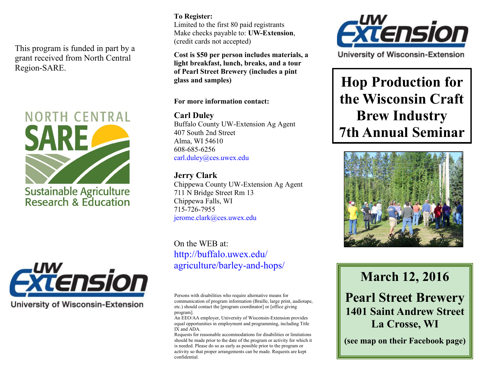This program is funded in part by a grant received from North Central Region-SARE.





**University of Wisconsin-Extension** 

### **To Register:**

Limited to the first 80 paid registrants Make checks payable to: **UW-Extension**, (credit cards not accepted)

**Cost is \$50 per person includes materials, a light breakfast, lunch, breaks, and a tour of Pearl Street Brewery (includes a pint glass and samples)**

#### **For more information contact:**

**Carl Duley**  Buffalo County UW-Extension Ag Agent 407 South 2nd Street Alma, WI 54610 608-685-6256 carl.duley@ces.uwex.edu

### **Jerry Clark**

Chippewa County UW-Extension Ag Agent 711 N Bridge Street Rm 13 Chippewa Falls, WI 715-726-7955 jerome.clark@ces.uwex.edu

On the WEB at: http://buffalo.uwex.edu/ agriculture/barley-and-hops/

Persons with disabilities who require alternative means for communication of program information (Braille, large print, audiotape, etc.) should contact the [program coordinator] or [office giving program].

An EEO/AA employer, University of Wisconsin-Extension provides equal opportunities in employment and programming, including Title IX and ADA.

Requests for reasonable accommodations for disabilities or limitations should be made prior to the date of the program or activity for which it is needed. Please do so as early as possible prior to the program or activity so that proper arrangements can be made. Requests are kept confidential.



University of Wisconsin-Extension

**Hop Production for the Wisconsin Craft Brew Industry 7th Annual Seminar**



# **March 12, 2016**

## **Pearl Street Brewery 1401 Saint Andrew Street La Crosse, WI**

**(see map on their Facebook page)**